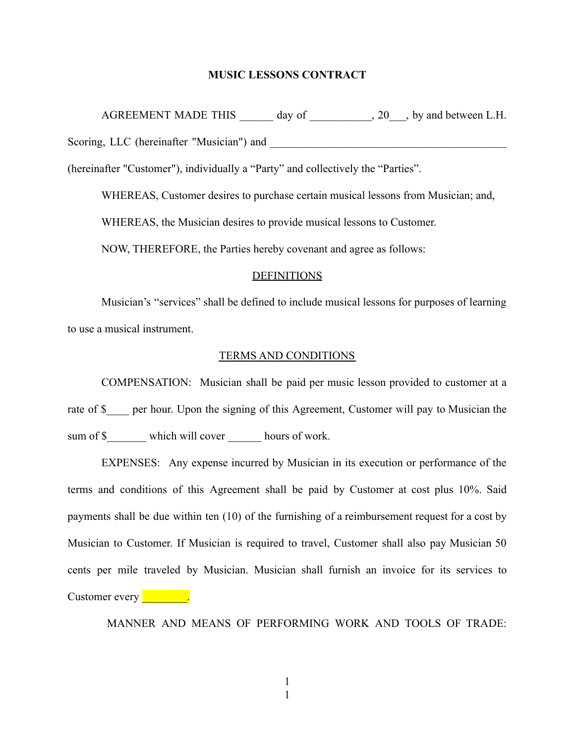## **MUSIC LESSONS CONTRACT**

AGREEMENT MADE THIS day of  $, 20$ , by and between L.H. Scoring, LLC (hereinafter "Musician") and

(hereinafter "Customer"), individually a "Party" and collectively the "Parties".

WHEREAS, Customer desires to purchase certain musical lessons from Musician; and,

WHEREAS, the Musician desires to provide musical lessons to Customer.

NOW, THEREFORE, the Parties hereby covenant and agree as follows:

## **DEFINITIONS**

Musician's "services" shall be defined to include musical lessons for purposes of learning to use a musical instrument.

## TERMS AND CONDITIONS

COMPENSATION: Musician shall be paid per music lesson provided to customer at a rate of \$ per hour. Upon the signing of this Agreement, Customer will pay to Musician the sum of \$ which will cover hours of work.

EXPENSES: Any expense incurred by Musician in its execution or performance of the terms and conditions of this Agreement shall be paid by Customer at cost plus 10%. Said payments shall be due within ten (10) of the furnishing of a reimbursement request for a cost by Musician to Customer. If Musician is required to travel, Customer shall also pay Musician 50 cents per mile traveled by Musician. Musician shall furnish an invoice for its services to Customer every **with the control** 

MANNER AND MEANS OF PERFORMING WORK AND TOOLS OF TRADE: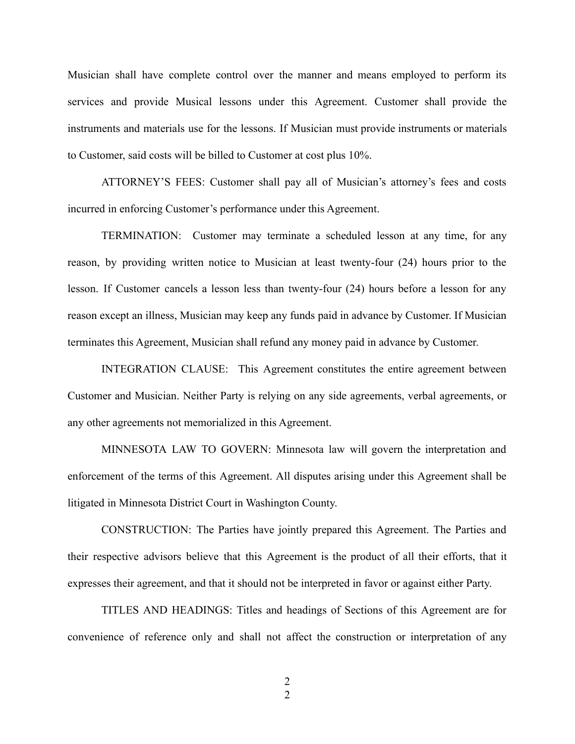Musician shall have complete control over the manner and means employed to perform its services and provide Musical lessons under this Agreement. Customer shall provide the instruments and materials use for the lessons. If Musician must provide instruments or materials to Customer, said costs will be billed to Customer at cost plus 10%.

ATTORNEY'S FEES: Customer shall pay all of Musician's attorney's fees and costs incurred in enforcing Customer's performance under this Agreement.

TERMINATION: Customer may terminate a scheduled lesson at any time, for any reason, by providing written notice to Musician at least twenty-four (24) hours prior to the lesson. If Customer cancels a lesson less than twenty-four (24) hours before a lesson for any reason except an illness, Musician may keep any funds paid in advance by Customer. If Musician terminates this Agreement, Musician shall refund any money paid in advance by Customer.

INTEGRATION CLAUSE: This Agreement constitutes the entire agreement between Customer and Musician. Neither Party is relying on any side agreements, verbal agreements, or any other agreements not memorialized in this Agreement.

MINNESOTA LAW TO GOVERN: Minnesota law will govern the interpretation and enforcement of the terms of this Agreement. All disputes arising under this Agreement shall be litigated in Minnesota District Court in Washington County.

CONSTRUCTION: The Parties have jointly prepared this Agreement. The Parties and their respective advisors believe that this Agreement is the product of all their efforts, that it expresses their agreement, and that it should not be interpreted in favor or against either Party.

TITLES AND HEADINGS: Titles and headings of Sections of this Agreement are for convenience of reference only and shall not affect the construction or interpretation of any